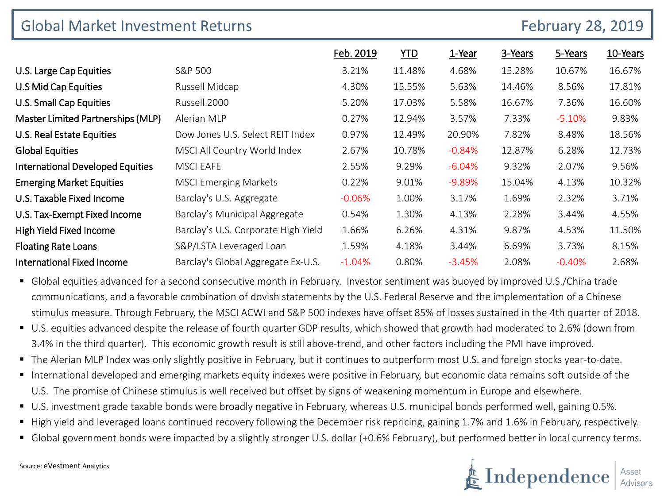| <b>Global Market Investment Returns</b><br><b>February 28, 2019</b> |                                     |           |            |          |         |          |          |
|---------------------------------------------------------------------|-------------------------------------|-----------|------------|----------|---------|----------|----------|
|                                                                     |                                     | Feb. 2019 | <b>YTD</b> | 1-Year   | 3-Years | 5-Years  | 10-Years |
| U.S. Large Cap Equities                                             | S&P 500                             | 3.21%     | 11.48%     | 4.68%    | 15.28%  | 10.67%   | 16.67%   |
| U.S Mid Cap Equities                                                | Russell Midcap                      | 4.30%     | 15.55%     | 5.63%    | 14.46%  | 8.56%    | 17.81%   |
| U.S. Small Cap Equities                                             | Russell 2000                        | 5.20%     | 17.03%     | 5.58%    | 16.67%  | 7.36%    | 16.60%   |
| Master Limited Partnerships (MLP)                                   | Alerian MLP                         | 0.27%     | 12.94%     | 3.57%    | 7.33%   | $-5.10%$ | 9.83%    |
| U.S. Real Estate Equities                                           | Dow Jones U.S. Select REIT Index    | 0.97%     | 12.49%     | 20.90%   | 7.82%   | 8.48%    | 18.56%   |
| <b>Global Equities</b>                                              | MSCI All Country World Index        | 2.67%     | 10.78%     | $-0.84%$ | 12.87%  | 6.28%    | 12.73%   |
| <b>International Developed Equities</b>                             | <b>MSCI EAFE</b>                    | 2.55%     | 9.29%      | $-6.04%$ | 9.32%   | 2.07%    | 9.56%    |
| <b>Emerging Market Equities</b>                                     | <b>MSCI Emerging Markets</b>        | 0.22%     | 9.01%      | $-9.89%$ | 15.04%  | 4.13%    | 10.32%   |
| U.S. Taxable Fixed Income                                           | Barclay's U.S. Aggregate            | $-0.06%$  | 1.00%      | 3.17%    | 1.69%   | 2.32%    | 3.71%    |
| U.S. Tax-Exempt Fixed Income                                        | Barclay's Municipal Aggregate       | 0.54%     | 1.30%      | 4.13%    | 2.28%   | 3.44%    | 4.55%    |
| High Yield Fixed Income                                             | Barclay's U.S. Corporate High Yield | 1.66%     | 6.26%      | 4.31%    | 9.87%   | 4.53%    | 11.50%   |
| <b>Floating Rate Loans</b>                                          | S&P/LSTA Leveraged Loan             | 1.59%     | 4.18%      | 3.44%    | 6.69%   | 3.73%    | 8.15%    |
| <b>International Fixed Income</b>                                   | Barclay's Global Aggregate Ex-U.S.  | $-1.04%$  | 0.80%      | $-3.45%$ | 2.08%   | $-0.40%$ | 2.68%    |

- Global equities advanced for a second consecutive month in February. Investor sentiment was buoyed by improved U.S./China trade communications, and a favorable combination of dovish statements by the U.S. Federal Reserve and the implementation of a Chinese stimulus measure. Through February, the MSCI ACWI and S&P 500 indexes have offset 85% of losses sustained in the 4th quarter of 2018.
- U.S. equities advanced despite the release of fourth quarter GDP results, which showed that growth had moderated to 2.6% (down from 3.4% in the third quarter). This economic growth result is still above-trend, and other factors including the PMI have improved.
- The Alerian MLP Index was only slightly positive in February, but it continues to outperform most U.S. and foreign stocks year-to-date.
- International developed and emerging markets equity indexes were positive in February, but economic data remains soft outside of the U.S. The promise of Chinese stimulus is well received but offset by signs of weakening momentum in Europe and elsewhere.
- U.S. investment grade taxable bonds were broadly negative in February, whereas U.S. municipal bonds performed well, gaining 0.5%.
- High yield and leveraged loans continued recovery following the December risk repricing, gaining 1.7% and 1.6% in February, respectively.
- Global government bonds were impacted by a slightly stronger U.S. dollar (+0.6% February), but performed better in local currency terms.

 $\triangleq \operatorname{Independence}\left| \begin{smallmatrix} \color{red} \\ \color{blue} \\ \color{blue} \\ \color{blue} \\ \color{blue} \mathsf{Advisors} \end{smallmatrix} \right|$ 

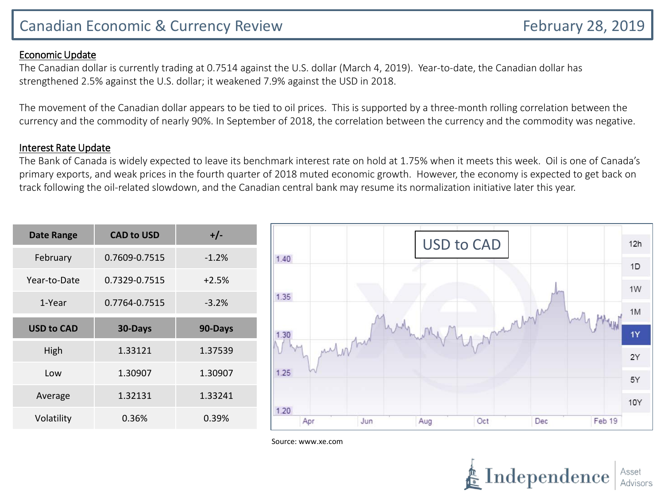# Canadian Economic & Currency Review February 28, 2019

### Economic Update

The Canadian dollar is currently trading at 0.7514 against the U.S. dollar (March 4, 2019). Year-to-date, the Canadian dollar has strengthened 2.5% against the U.S. dollar; it weakened 7.9% against the USD in 2018.

The movement of the Canadian dollar appears to be tied to oil prices. This is supported by a three-month rolling correlation between the currency and the commodity of nearly 90%. In September of 2018, the correlation between the currency and the commodity was negative.

#### Interest Rate Update

The Bank of Canada is widely expected to leave its benchmark interest rate on hold at 1.75% when it meets this week. Oil is one of Canada's primary exports, and weak prices in the fourth quarter of 2018 muted economic growth. However, the economy is expected to get back on track following the oil-related slowdown, and the Canadian central bank may resume its normalization initiative later this year.

| <b>CAD to USD</b><br><b>Date Range</b> |               | $+/-$   |  |  |
|----------------------------------------|---------------|---------|--|--|
| February                               | 0.7609-0.7515 | $-1.2%$ |  |  |
| Year-to-Date                           | 0.7329-0.7515 | $+2.5%$ |  |  |
| 1-Year                                 | 0.7764-0.7515 | $-3.2%$ |  |  |
| <b>USD to CAD</b>                      | 30-Days       | 90-Days |  |  |
| High                                   | 1.33121       | 1.37539 |  |  |
| Low                                    | 1.30907       | 1.30907 |  |  |
| Average                                | 1.32131       | 1.33241 |  |  |
| Volatility                             | 0.36%         | 0.39%   |  |  |



Source: www.xe.com